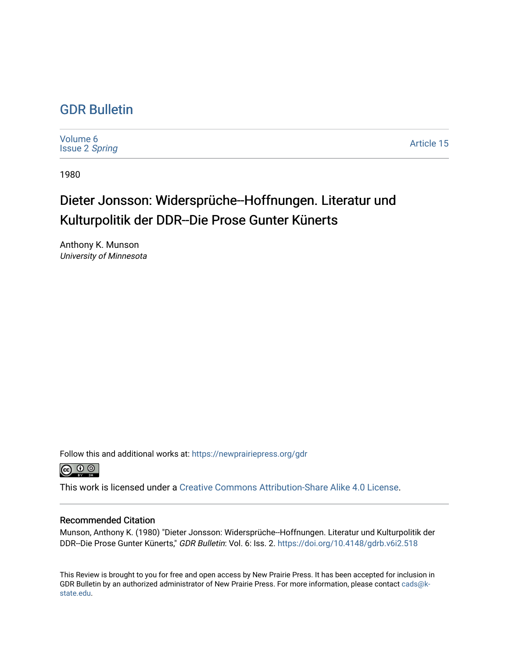## [GDR Bulletin](https://newprairiepress.org/gdr)

[Volume 6](https://newprairiepress.org/gdr/vol6) [Issue 2](https://newprairiepress.org/gdr/vol6/iss2) Spring

[Article 15](https://newprairiepress.org/gdr/vol6/iss2/15) 

1980

## Dieter Jonsson: Widersprüche--Hoffnungen. Literatur und Kulturpolitik der DDR--Die Prose Gunter Künerts

Anthony K. Munson University of Minnesota

Follow this and additional works at: [https://newprairiepress.org/gdr](https://newprairiepress.org/gdr?utm_source=newprairiepress.org%2Fgdr%2Fvol6%2Fiss2%2F15&utm_medium=PDF&utm_campaign=PDFCoverPages) 



This work is licensed under a [Creative Commons Attribution-Share Alike 4.0 License.](https://creativecommons.org/licenses/by-sa/4.0/)

## Recommended Citation

Munson, Anthony K. (1980) "Dieter Jonsson: Widersprüche--Hoffnungen. Literatur und Kulturpolitik der DDR--Die Prose Gunter Künerts," GDR Bulletin: Vol. 6: Iss. 2.<https://doi.org/10.4148/gdrb.v6i2.518>

This Review is brought to you for free and open access by New Prairie Press. It has been accepted for inclusion in GDR Bulletin by an authorized administrator of New Prairie Press. For more information, please contact [cads@k](mailto:cads@k-state.edu)[state.edu](mailto:cads@k-state.edu).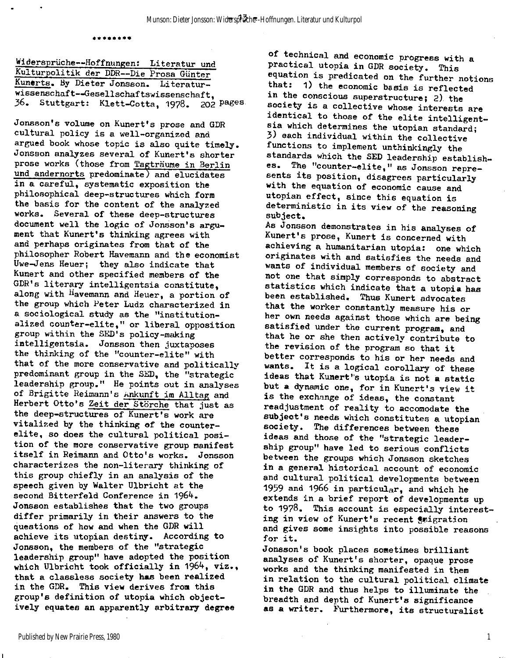**\*\*\*\*\*\*\*\*** 

**Widersprüche—Hoffnungen: Literatur und Kulturpolitik der DDR—Die Prosa Günter**  Kunerts. By Dieter Jonsson. Literatur**wissenschaft—Gesellschaftswissenschaft,**  36. **Stuttgart: Klett-Cotta,** 1978. 202 **P^es** 

**Jonsson's volume on Kunert's prose and GDR cultural policy i s a well-organized and argued book whose topic i s also quite timely. Jonsson analyzes several of Kunert's shorter prose works (those from Tagträume i n Berlin und andernorts predominate) and elucidates i n a careful, systematic exposition the philosophical deep-structures which form the basis for the content of the analyzed works. Several of these deep-structures document well the logic of Jonsson's argument that Kunert's thinking agrees with and perhaps originates from that of the philosopher Robert Havemann and the economist Uwe-Jens Heuer; they also indicate that Kunert and other specified members of the GDR's literar y intelligentsi a constitute, along with Havemann and Heuer, a portion of**  the group which Peter Ludz characterized in **a sociological study as the "institution**  alized counter-elite," or liberal opposition **group within the SED's policy-making intelligentsia . Jonsson then juxtaposes the thinking of the "counter-elite" with**  that of the more conservative and politically predominant group in the SED, the "strategic leadership group." He points out in analyses of Brigitte Reimann's Ankunft im Alltag and **Herbert Otto's Zeit der Störche that just as the deep-structures of Kunert's work are**  vitalized by the thinking of the counterelite, so does the cultural political posi**tion of the more conservative group manifest itsel f i n Reimann and Otto's works. Jonsson characterizes the non-literary thinking of**  this group chiefly in an analysis of the **speech given by Walter Ulbricht at the**  second Bitterfeld Conference in 1964. **Jonsson establishes that the two groups**  differ primarily in their answers to the questions of how and when the GDR will achieve its utopian destiny. According to **Jonsson, the members of the "strategic leadership group" have adopted the position which Ulbricht took officiall y i n** 1964, **viz. , that a classless society has been realized i n the GDR. This view derives from this group's definition of Utopia which object ively equates an apparently arbitrary degree** 

**of technical and economic progress with a practica l Utopia i n GDR society. This equation i s predicated on the further notions**  that: 1) the economic basis is reflected **i n the conscious superstructure;** 2) **the society i s a collectiv e whose interests are**  identical to those of the elite intelligent**s i a which determines the Utopian standard;**  3) **each individual within the collective functions to implement unthinkingly the standards which the SED leadership establishes. The "counter-elite," as Jonsson represents it s position, disagrees particularly with the equation of economic cause and Utopian effect, since this equation i s**  deterministic in its view of the reasoning **subject.** 

**As Jonsson demonstrates i n his analyses of**  Kunert's prose, Kunert is concerned with **achieving a humanitarian Utopia: one which originates with and satisfie s the needs and wants of individual members of society and not one that simply corresponds to abstract statistic s which indicate that a Utopi a has been established. Thus Kunert advocates that the worker constantly measure his or her own needs against those which are being**  satisfied under the current program, and **that he or she then actively contribute to the revision of the program so that i t better corresponds to his or her needs and**  wants. It is a logical corollary of these ideas that Kunert's utopia is not a static but a dynamic one, for in Kunert's view it is the exchange of ideas, the constant readjustment of reality to accomodate the subject's needs which constitutes a utopian **society. The differences between these ideas and those of the "strategic leader**ship group" have led to serious conflicts **between the groups which Jonsson sketches i n a general historica l account of economic**  and cultural political developments between 1959 **and** 1966 **i n particular, and which he extends i n a brief report of developments up**  to 1978. This account is especially interesting in view of Kunert's recent *inigration* **and gives some insights into possible reasons f or it .** 

Jonsson's book places sometimes brilliant **analyses of Kunert's shorter, opaque prose**  works and the thinking manifested in them **i n relatio n to the cultura l politica l climate i n the GDR and thus helps to illuminate the breadth and depth of Kunert's significance**  as a writer. Furthermore, its structuralist

1